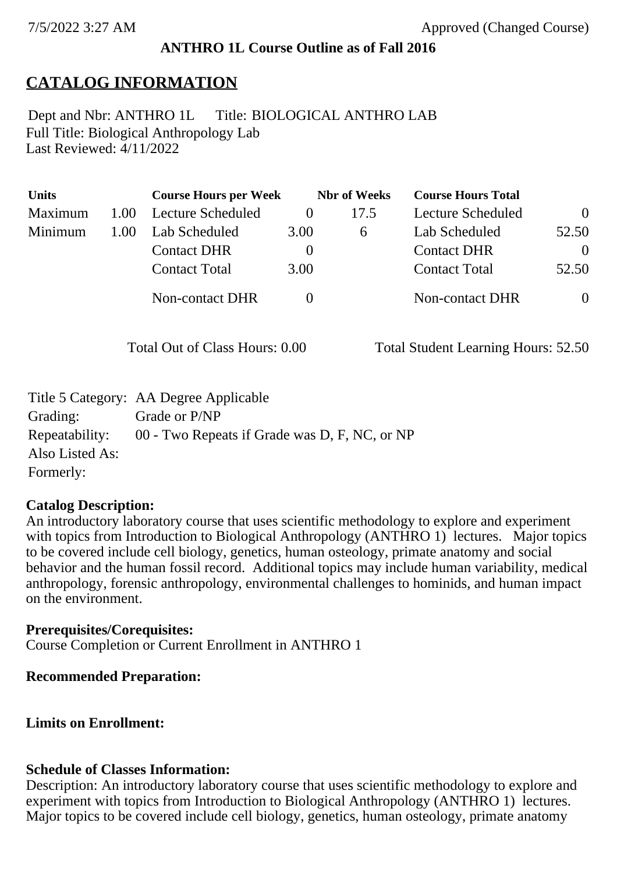## **ANTHRO 1L Course Outline as of Fall 2016**

# **CATALOG INFORMATION**

Full Title: Biological Anthropology Lab Last Reviewed: 4/11/2022 Dept and Nbr: ANTHRO 1L Title: BIOLOGICAL ANTHRO LAB

| <b>Units</b> |      | <b>Course Hours per Week</b> |          | <b>Nbr</b> of Weeks | <b>Course Hours Total</b> |                |
|--------------|------|------------------------------|----------|---------------------|---------------------------|----------------|
| Maximum      | 1.00 | Lecture Scheduled            |          | 17.5                | Lecture Scheduled         | $\overline{0}$ |
| Minimum      | 1.00 | Lab Scheduled                | 3.00     | $\mathfrak b$       | Lab Scheduled             | 52.50          |
|              |      | <b>Contact DHR</b>           | $\theta$ |                     | <b>Contact DHR</b>        | $\Omega$       |
|              |      | <b>Contact Total</b>         | 3.00     |                     | <b>Contact Total</b>      | 52.50          |
|              |      | <b>Non-contact DHR</b>       |          |                     | <b>Non-contact DHR</b>    | $\overline{0}$ |

Total Out of Class Hours: 0.00 Total Student Learning Hours: 52.50

|                 | Title 5 Category: AA Degree Applicable        |
|-----------------|-----------------------------------------------|
| Grading:        | Grade or P/NP                                 |
| Repeatability:  | 00 - Two Repeats if Grade was D, F, NC, or NP |
| Also Listed As: |                                               |
| Formerly:       |                                               |

#### **Catalog Description:**

An introductory laboratory course that uses scientific methodology to explore and experiment with topics from Introduction to Biological Anthropology (ANTHRO 1) lectures. Major topics to be covered include cell biology, genetics, human osteology, primate anatomy and social behavior and the human fossil record. Additional topics may include human variability, medical anthropology, forensic anthropology, environmental challenges to hominids, and human impact on the environment.

**Prerequisites/Corequisites:** Course Completion or Current Enrollment in ANTHRO 1

## **Recommended Preparation:**

**Limits on Enrollment:**

## **Schedule of Classes Information:**

Description: An introductory laboratory course that uses scientific methodology to explore and experiment with topics from Introduction to Biological Anthropology (ANTHRO 1) lectures. Major topics to be covered include cell biology, genetics, human osteology, primate anatomy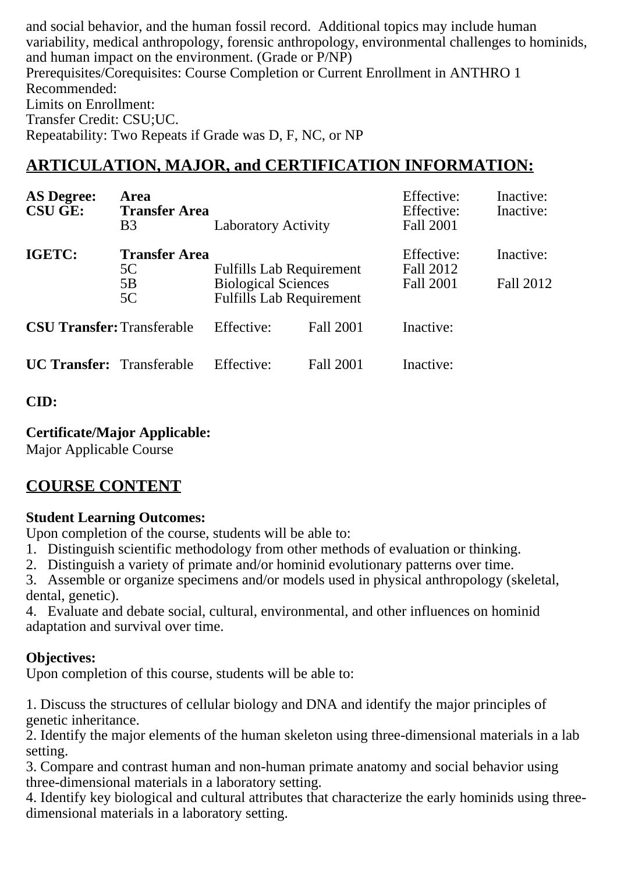and social behavior, and the human fossil record. Additional topics may include human variability, medical anthropology, forensic anthropology, environmental challenges to hominids, and human impact on the environment. (Grade or P/NP) Prerequisites/Corequisites: Course Completion or Current Enrollment in ANTHRO 1 Recommended: Limits on Enrollment: Transfer Credit: CSU;UC. Repeatability: Two Repeats if Grade was D, F, NC, or NP

## **ARTICULATION, MAJOR, and CERTIFICATION INFORMATION:**

| <b>AS Degree:</b><br><b>CSU GE:</b> | Area<br><b>Transfer Area</b><br>B <sub>3</sub> | <b>Laboratory Activity</b>                                                                       |           | Effective:<br>Effective:<br>Fall 2001 | Inactive:<br>Inactive: |
|-------------------------------------|------------------------------------------------|--------------------------------------------------------------------------------------------------|-----------|---------------------------------------|------------------------|
| <b>IGETC:</b>                       | <b>Transfer Area</b><br>5C<br>5B<br>5C         | <b>Fulfills Lab Requirement</b><br><b>Biological Sciences</b><br><b>Fulfills Lab Requirement</b> |           | Effective:<br>Fall 2012<br>Fall 2001  | Inactive:<br>Fall 2012 |
| <b>CSU Transfer: Transferable</b>   |                                                | Effective:                                                                                       | Fall 2001 | Inactive:                             |                        |
| <b>UC Transfer:</b> Transferable    |                                                | Effective:                                                                                       | Fall 2001 | Inactive:                             |                        |

### **CID:**

### **Certificate/Major Applicable:**

[Major Applicable Course](SR_ClassCheck.aspx?CourseKey=ANTHRO1L)

# **COURSE CONTENT**

## **Student Learning Outcomes:**

Upon completion of the course, students will be able to:

- 1. Distinguish scientific methodology from other methods of evaluation or thinking.
- 2. Distinguish a variety of primate and/or hominid evolutionary patterns over time.

3. Assemble or organize specimens and/or models used in physical anthropology (skeletal, dental, genetic).

4. Evaluate and debate social, cultural, environmental, and other influences on hominid adaptation and survival over time.

## **Objectives:**

Upon completion of this course, students will be able to:

1. Discuss the structures of cellular biology and DNA and identify the major principles of genetic inheritance.

2. Identify the major elements of the human skeleton using three-dimensional materials in a lab setting.

3. Compare and contrast human and non-human primate anatomy and social behavior using three-dimensional materials in a laboratory setting.

4. Identify key biological and cultural attributes that characterize the early hominids using threedimensional materials in a laboratory setting.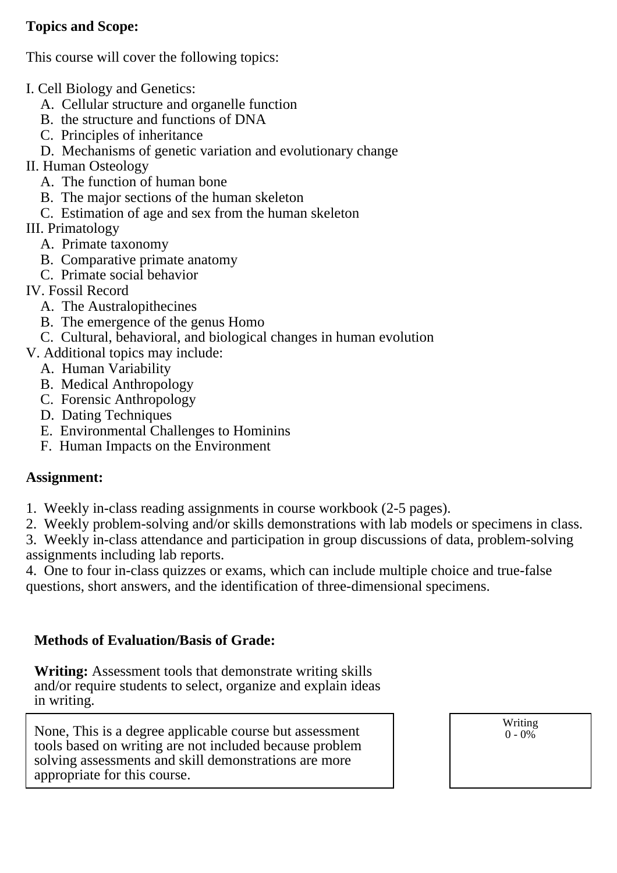## **Topics and Scope:**

This course will cover the following topics:

- I. Cell Biology and Genetics:
	- A. Cellular structure and organelle function
	- B. the structure and functions of DNA
	- C. Principles of inheritance
	- D. Mechanisms of genetic variation and evolutionary change
- II. Human Osteology
	- A. The function of human bone
	- B. The major sections of the human skeleton
	- C. Estimation of age and sex from the human skeleton
- III. Primatology
	- A. Primate taxonomy
	- B. Comparative primate anatomy
	- C. Primate social behavior
- IV. Fossil Record
	- A. The Australopithecines
	- B. The emergence of the genus Homo
	- C. Cultural, behavioral, and biological changes in human evolution
- V. Additional topics may include:
	- A. Human Variability
	- B. Medical Anthropology
	- C. Forensic Anthropology
	- D. Dating Techniques
	- E. Environmental Challenges to Hominins
	- F. Human Impacts on the Environment

#### **Assignment:**

- 1. Weekly in-class reading assignments in course workbook (2-5 pages).
- 2. Weekly problem-solving and/or skills demonstrations with lab models or specimens in class.

3. Weekly in-class attendance and participation in group discussions of data, problem-solving assignments including lab reports.

4. One to four in-class quizzes or exams, which can include multiple choice and true-false questions, short answers, and the identification of three-dimensional specimens.

### **Methods of Evaluation/Basis of Grade:**

**Writing:** Assessment tools that demonstrate writing skills and/or require students to select, organize and explain ideas in writing.

None, This is a degree applicable course but assessment tools based on writing are not included because problem solving assessments and skill demonstrations are more appropriate for this course.

Writing  $0 - 0\%$